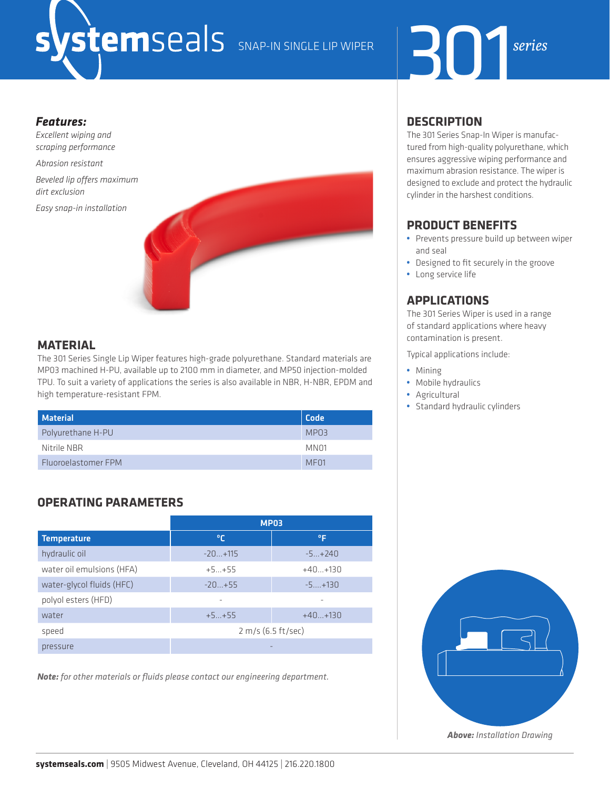# 301 SNAP-IN SINGLE LIP WIPER *series*



### *Features:*

*Excellent wiping and scraping performance*

*Abrasion resistant*

*Beveled lip offers maximum dirt exclusion*

*Easy snap-in installation*



## **MATERIAL**

The 301 Series Single Lip Wiper features high-grade polyurethane. Standard materials are MP03 machined H-PU, available up to 2100 mm in diameter, and MP50 injection-molded TPU. To suit a variety of applications the series is also available in NBR, H-NBR, EPDM and high temperature-resistant FPM.

| Material            | <b>Code</b>      |
|---------------------|------------------|
| Polyurethane H-PU   | MPO3             |
| Nitrile NBR         | MN <sub>01</sub> |
| Fluoroelastomer FPM | MF <sub>01</sub> |

# **OPERATING PARAMETERS**

|                           | <b>MP03</b>        |           |  |  |  |  |  |  |
|---------------------------|--------------------|-----------|--|--|--|--|--|--|
| <b>Temperature</b>        | ∣°C                | °F        |  |  |  |  |  |  |
| hydraulic oil             | $-20+115$          | $-5+240$  |  |  |  |  |  |  |
| water oil emulsions (HFA) | $+5+55$            | $+40+130$ |  |  |  |  |  |  |
| water-glycol fluids (HFC) | $-20+55$           | $-5+130$  |  |  |  |  |  |  |
| polyol esters (HFD)       |                    |           |  |  |  |  |  |  |
| water                     | $+5+55$            | $+40+130$ |  |  |  |  |  |  |
| speed                     | 2 m/s (6.5 ft/sec) |           |  |  |  |  |  |  |
| pressure                  |                    |           |  |  |  |  |  |  |

*Note: for other materials or fluids please contact our engineering department.*

## **DESCRIPTION**

The 301 Series Snap-In Wiper is manufactured from high-quality polyurethane, which ensures aggressive wiping performance and maximum abrasion resistance. The wiper is designed to exclude and protect the hydraulic cylinder in the harshest conditions.

# **PRODUCT BENEFITS**

- **•** Prevents pressure build up between wiper and seal
- **•** Designed to fit securely in the groove
- **•** Long service life

## **APPLICATIONS**

The 301 Series Wiper is used in a range of standard applications where heavy contamination is present.

Typical applications include:

- **•** Mining
- **•** Mobile hydraulics
- **•** Agricultural
- **•** Standard hydraulic cylinders

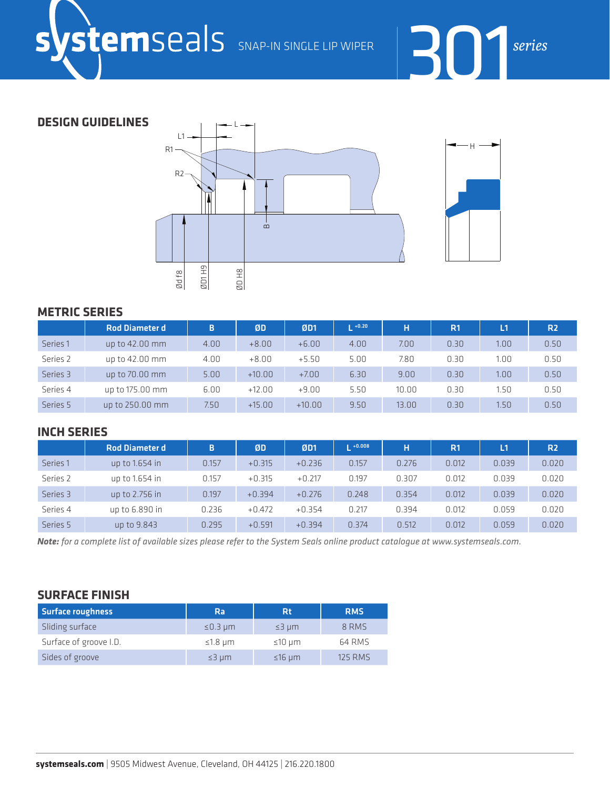

**DESIGN GUIDELINES**



### **METRIC SERIES**

|          | <b>Rod Diameter d</b> | B.   | ØD       | ØD1      | $1 + 0.20$ | Ŧ     | R <sub>1</sub> | L1                | R <sub>2</sub> |
|----------|-----------------------|------|----------|----------|------------|-------|----------------|-------------------|----------------|
| Series 1 | up to 42.00 mm        | 4.00 | $+8.00$  | $+6.00$  | 4.00       | 7.00  | 0.30           | 1.00              | 0.50           |
| Series 2 | up to 42.00 mm        | 4.00 | $+8.00$  | $+5.50$  | 5.00       | 7.80  | 0.30           | 1.00              | 0.50           |
| Series 3 | up to 70.00 mm        | 5.00 | $+10.00$ | $+7.00$  | 6.30       | 9.00  | 0.30           | 1.00              | 0.50           |
| Series 4 | up to 175.00 mm       | 6.00 | $+12.00$ | $+9.00$  | 5.50       | 10.00 | 0.30           | 1.50              | 0.50           |
| Series 5 | up to 250.00 mm       | 7.50 | $+15.00$ | $+10.00$ | 9.50       | 13.00 | 0.30           | 1.50 <sub>1</sub> | 0.50           |

### **INCH SERIES**

|                     | <b>Rod Diameter d</b> | B.    | ØD       | ØD1      | $1 + 0.008$ | н     | R <sub>1</sub> | L1    | R <sub>2</sub> |
|---------------------|-----------------------|-------|----------|----------|-------------|-------|----------------|-------|----------------|
| Series <sub>1</sub> | up to $1.654$ in      | 0.157 | $+0.315$ | $+0.236$ | 0.157       | 0.276 | 0.012          | 0.039 | 0.020          |
| Series 2            | up to 1.654 in        | 0.157 | $+0.315$ | $+0.217$ | 0.197       | 0.307 | 0.012          | 0.039 | 0.020          |
| Series 3            | up to 2.756 in        | 0.197 | $+0.394$ | $+0.276$ | 0.248       | 0.354 | 0.012          | 0.039 | 0.020          |
| Series 4            | up to 6.890 in        | 0.236 | $+0.472$ | $+0.354$ | 0.217       | 0.394 | 0.012          | 0.059 | 0.020          |
| Series 5            | up to 9.843           | 0.295 | $+0.591$ | $+0.394$ | 0.374       | 0.512 | 0.012          | 0.059 | 0.020          |

*Note: for a complete list of available sizes please refer to the System Seals online product catalogue at www.systemseals.com.*

## **SURFACE FINISH**

| <b>Surface roughness</b> | Ra               | Rt               | <b>RMS</b>     |  |  |
|--------------------------|------------------|------------------|----------------|--|--|
| Sliding surface          | $\leq$ 0.3 µm    | $\leq$ 3 $\mu$ m | 8 RMS          |  |  |
| Surface of groove I.D.   | $\leq$ 1.8 µm    | $\leq 10 \mu m$  | 64 RMS         |  |  |
| Sides of groove          | $\leq$ 3 $\mu$ m | $≤16$ µm         | <b>125 RMS</b> |  |  |